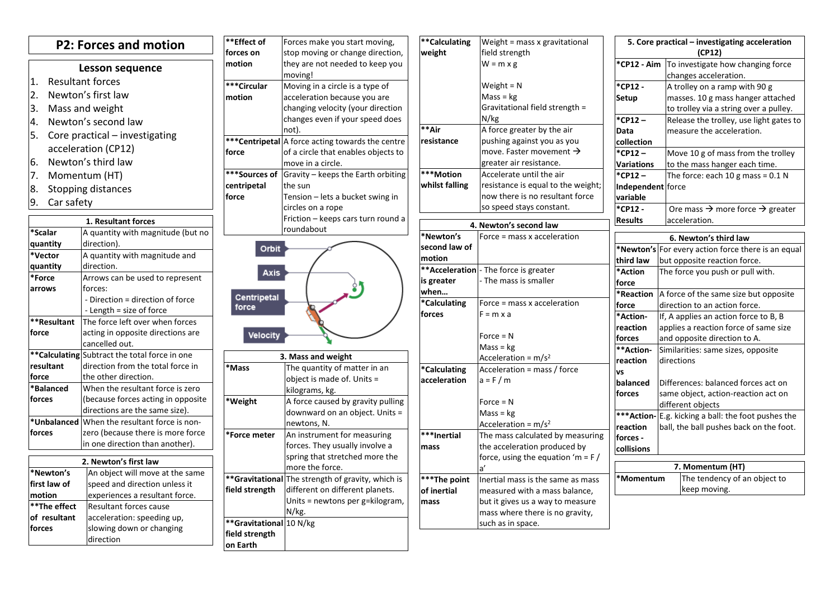| <b>P2: Forces and motion</b>            |                                                                        | **Effect of<br>forces on | Forces make you start moving,<br>stop moving or change direction, | **Calculating<br>weight | Weight = mass x gravitational<br>field strength      |                   | 5. Core practical - investigating acceleration<br>(CP12) |  |
|-----------------------------------------|------------------------------------------------------------------------|--------------------------|-------------------------------------------------------------------|-------------------------|------------------------------------------------------|-------------------|----------------------------------------------------------|--|
| <b>Lesson sequence</b>                  |                                                                        | motion                   | they are not needed to keep you                                   |                         | $W = m \times g$                                     |                   | *CP12 - Aim To investigate how changing force            |  |
|                                         |                                                                        |                          | moving!                                                           |                         |                                                      |                   | changes acceleration.                                    |  |
| $\mathbf{1}$<br><b>Resultant forces</b> |                                                                        | ***Circular              | Moving in a circle is a type of                                   |                         | Weight = $N$                                         | *CP12 -           | A trolley on a ramp with 90 g                            |  |
| 2<br>Newton's first law                 |                                                                        | motion                   | acceleration because you are                                      |                         | $Mass = kg$                                          | Setup             | masses. 10 g mass hanger attached                        |  |
| 3.<br>Mass and weight                   |                                                                        |                          | changing velocity (your direction                                 |                         | Gravitational field strength =                       |                   | to trolley via a string over a pulley.                   |  |
| 4.<br>Newton's second law               |                                                                        |                          | changes even if your speed does                                   |                         | N/kg                                                 | *CP12-            | Release the trolley, use light gates to                  |  |
| l5.                                     | Core practical - investigating                                         |                          | not).                                                             | **Air                   | A force greater by the air                           | Data              | measure the acceleration.                                |  |
| acceleration (CP12)                     |                                                                        |                          | <b>***Centripetal</b> A force acting towards the centre           | resistance              | pushing against you as you                           | collection        |                                                          |  |
|                                         |                                                                        | force                    | of a circle that enables objects to                               |                         | move. Faster movement $\rightarrow$                  | *CP12 -           | Move 10 g of mass from the trolley                       |  |
| 16.                                     | Newton's third law                                                     |                          | move in a circle.                                                 |                         | greater air resistance.                              | <b>Variations</b> | to the mass hanger each time.                            |  |
| 17.                                     | Momentum (HT)                                                          | ***Sources of            | Gravity - keeps the Earth orbiting                                | ***Motion               | Accelerate until the air                             | *CP12-            | The force: each 10 g mass = $0.1$ N                      |  |
| 8.                                      | Stopping distances                                                     | centripetal<br>the sun   |                                                                   |                         | whilst falling<br>resistance is equal to the weight; |                   | Independent force                                        |  |
| 9.<br>Car safety                        |                                                                        | force                    | Tension - lets a bucket swing in                                  |                         | now there is no resultant force                      | variable          |                                                          |  |
|                                         |                                                                        |                          | circles on a rope                                                 |                         | so speed stays constant.                             | *CP12 -           | Ore mass $\rightarrow$ more force $\rightarrow$ greater  |  |
|                                         | 1. Resultant forces                                                    |                          | Friction - keeps cars turn round a                                |                         | 4. Newton's second law                               | <b>Results</b>    | acceleration.                                            |  |
| *Scalar                                 | A quantity with magnitude (but no                                      |                          | roundabout                                                        | *Newton's               | Force = mass x acceleration                          |                   | 6. Newton's third law                                    |  |
| quantity                                | direction).                                                            | Orbit                    |                                                                   | second law of           |                                                      |                   | *Newton's For every action force there is an equal       |  |
| *Vector                                 | A quantity with magnitude and                                          |                          |                                                                   | motion                  |                                                      | third law         | but opposite reaction force.                             |  |
| quantity                                | direction.                                                             | <b>Axis</b>              |                                                                   | **Acceleration          | - The force is greater                               | *Action           | The force you push or pull with.                         |  |
| *Force                                  | Arrows can be used to represent                                        |                          |                                                                   | is greater              | The mass is smaller                                  | force             |                                                          |  |
| arrows                                  | forces:                                                                |                          |                                                                   | when                    |                                                      | <b>*Reaction</b>  | A force of the same size but opposite                    |  |
|                                         | - Direction = direction of force                                       | Centripetal<br>force     |                                                                   | *Calculating            | Force = mass x acceleration                          | force             | direction to an action force.                            |  |
|                                         | - Length = size of force                                               |                          |                                                                   | forces                  | $F = m \times a$                                     | *Action-          | If, A applies an action force to B, B                    |  |
| **Resultant                             | The force left over when forces                                        |                          |                                                                   |                         |                                                      | reaction          | applies a reaction force of same size                    |  |
| force                                   | acting in opposite directions are                                      | Velocity                 |                                                                   |                         | Force = $N$                                          | forces            | and opposite direction to A.                             |  |
|                                         | cancelled out.                                                         |                          |                                                                   |                         | $Mass = kg$                                          | **Action-         | Similarities: same sizes, opposite                       |  |
|                                         | **Calculating Subtract the total force in one                          |                          | 3. Mass and weight                                                |                         | Acceleration = $m/s2$                                | reaction          | directions                                               |  |
| resultant                               | direction from the total force in                                      | <b>Mass</b>              | The quantity of matter in an                                      | <b>Calculating</b>      | Acceleration = mass / force                          | <b>vs</b>         |                                                          |  |
| force<br>*Balanced                      | the other direction.                                                   |                          | object is made of. Units =                                        | acceleration            | $a = F/m$                                            | balanced          | Differences: balanced forces act on                      |  |
| forces                                  | When the resultant force is zero<br>(because forces acting in opposite |                          | kilograms, kg.                                                    |                         |                                                      | forces            | same object, action-reaction act on                      |  |
|                                         | directions are the same size).                                         | *Weight                  | A force caused by gravity pulling                                 |                         | $Force = N$                                          |                   | different objects                                        |  |
| *Unbalanced                             | When the resultant force is non-                                       |                          | downward on an object. Units =                                    |                         | $Mass = kg$                                          | ***Action-        | E.g. kicking a ball: the foot pushes the                 |  |
| forces                                  | zero (because there is more force                                      |                          | newtons, N.                                                       |                         | Acceleration = $m/s2$                                | reaction          | ball, the ball pushes back on the foot.                  |  |
|                                         | in one direction than another).                                        | *Force meter             | An instrument for measuring                                       | ***Inertial             | The mass calculated by measuring                     | forces -          |                                                          |  |
|                                         |                                                                        |                          | forces. They usually involve a                                    | mass                    | the acceleration produced by                         | collisions        |                                                          |  |
|                                         | 2. Newton's first law                                                  |                          | spring that stretched more the<br>more the force.                 |                         | force, using the equation 'm = $F/$                  |                   | 7. Momentum (HT)                                         |  |
| *Newton's                               | An object will move at the same                                        |                          | **Gravitational The strength of gravity, which is                 | ***The point            |                                                      | *Momentum         | The tendency of an object to                             |  |
| first law of                            | speed and direction unless it                                          | field strength           | different on different planets.                                   |                         | Inertial mass is the same as mass                    |                   | keep moving.                                             |  |
| motion                                  | experiences a resultant force.                                         |                          | Units = newtons per g=kilogram,                                   | of inertial             | measured with a mass balance,                        |                   |                                                          |  |
| **The effect                            | Resultant forces cause                                                 |                          | N/kg.                                                             | mass                    | but it gives us a way to measure                     |                   |                                                          |  |
| of resultant                            | acceleration: speeding up,                                             | **Gravitational 10 N/kg  |                                                                   |                         | mass where there is no gravity,<br>such as in space. |                   |                                                          |  |
| forces                                  | slowing down or changing                                               | field strength           |                                                                   |                         |                                                      |                   |                                                          |  |
|                                         | direction                                                              | on Earth                 |                                                                   |                         |                                                      |                   |                                                          |  |